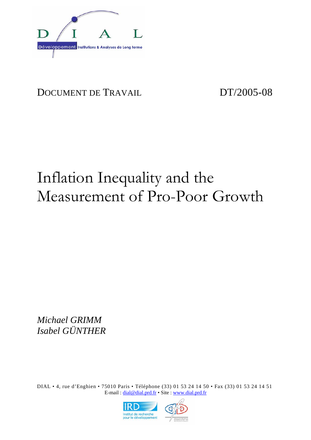

## DOCUMENT DE TRAVAIL DT/2005-08

# Inflation Inequality and the Measurement of Pro-Poor Growth

*Michael GRIMM Isabel GÜNTHER* 

DIAL • 4, rue d'Enghien • 75010 Paris • Téléphone (33) 01 53 24 14 50 • Fax (33) 01 53 24 14 51 E-mail : dial@dial.prd.fr • Site : www.dial.prd.fr

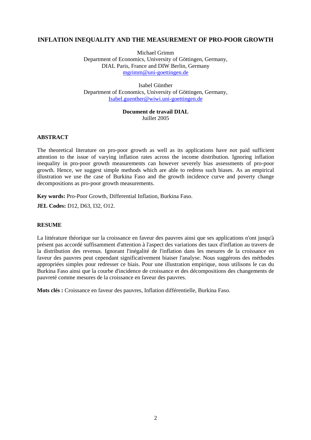## **INFLATION INEQUALITY AND THE MEASUREMENT OF PRO-POOR GROWTH**

Michael Grimm Department of Economics, University of Göttingen, Germany, DIAL Paris, France and DIW Berlin, Germany mgrimm@uni-goettingen.de

Isabel Günther Department of Economics, University of Göttingen, Germany, Isabel.guenther@wiwi.uni-goettingen.de

## **Document de travail DIAL**  Juillet 2005

## **ABSTRACT**

The theoretical literature on pro-poor growth as well as its applications have not paid sufficient attention to the issue of varying inflation rates across the income distribution. Ignoring inflation inequality in pro-poor growth measurements can however severely bias assessments of pro-poor growth. Hence, we suggest simple methods which are able to redress such biases. As an empirical illustration we use the case of Burkina Faso and the growth incidence curve and poverty change decompositions as pro-poor growth measurements.

**Key words:** Pro-Poor Growth, Differential Inflation, Burkina Faso.

**JEL Codes:** D12, D63, I32, O12.

## **RESUME**

La littérature théorique sur la croissance en faveur des pauvres ainsi que ses applications n'ont jusqu'à présent pas accordé suffisamment d'attention à l'aspect des variations des taux d'inflation au travers de la distribution des revenus. Ignorant l'inégalité de l'inflation dans les mesures de la croissance en faveur des pauvres peut cependant significativement biaiser l'analyse. Nous suggérons des méthodes appropriées simples pour redresser ce biais. Pour une illustration empirique, nous utilisons le cas du Burkina Faso ainsi que la courbe d'incidence de croissance et des décompositions des changements de pauvreté comme mesures de la croissance en faveur des pauvres.

**Mots clés :** Croissance en faveur des pauvres, Inflation différentielle, Burkina Faso.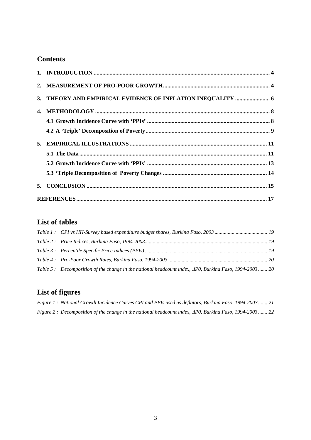## **Contents**

| 3. THEORY AND EMPIRICAL EVIDENCE OF INFLATION INEQUALITY  6 |  |
|-------------------------------------------------------------|--|
|                                                             |  |
|                                                             |  |
|                                                             |  |
|                                                             |  |
|                                                             |  |
|                                                             |  |
|                                                             |  |
|                                                             |  |
|                                                             |  |

## **List of tables**

| Table 5: Decomposition of the change in the national headcount index, APO, Burkina Faso, 1994-2003 20 |  |
|-------------------------------------------------------------------------------------------------------|--|

## **List of figures**

| Figure 1: National Growth Incidence Curves CPI and PPIs used as deflators, Burkina Faso, 1994-2003 21  |  |  |  |
|--------------------------------------------------------------------------------------------------------|--|--|--|
| Figure 2: Decomposition of the change in the national headcount index, APO, Burkina Faso, 1994-2003 22 |  |  |  |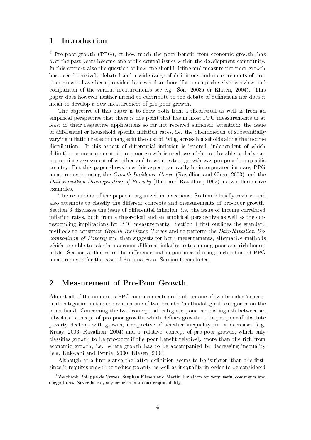#### 1 Introduction

<sup>1</sup> Pro-poor-growth (PPG), or how much the poor benefit from economic growth, has over the past vears become one of the central issues within the development community. In this context also the question of how one should define and measure pro-poor growth has been intensively debated and a wide range of definitions and measurements of propoor growth have been provided by several authors (for a comprehensive overview and comparison of the various measurements see e.g. Son, 2003a or Klasen, 2004). This paper does however neither intend to contribute to the debate of definitions nor does it mean to develop a new measurement of pro-poor growth.

The objective of this paper is to show both from a theoretical as well as from an empirical perspective that there is one point that has in most PPG measurements or at least in their respective applications so far not received sufficient attention: the issue of differential or household specific inflation rates, i.e. the phenomenon of substantially varying inflation rates or changes in the cost of living across households along the income distribution. If this aspect of differential inflation is ignored, independent of which definition or measurement of pro-poor growth is used, we might not be able to derive an appropriate assessment of whether and to what extent growth was pro-poor in a specific country. But this paper shows how this aspect can easily be incorporated into any PPG measurements, using the *Growth Incidence Curve* (Ravallion and Chen, 2003) and the Datt-Ravallion Decomposition of Poverty (Datt and Ravallion, 1992) as two illustrative examples.

The remainder of the paper is organized in 5 sections. Section 2 briefly reviews and also attempts to classify the different concepts and measurements of pro-poor growth. Section 3 discusses the issue of differential inflation, i.e. the issue of income correlated inflation rates, both from a theoretical and an empirical perspective as well as the corresponding implications for PPG measurements. Section 4 first outlines the standard methods to construct Growth Incidence Curves and to perform the Datt-Ravallion De*composition of Poverty* and then suggests for both measurements, alternative methods which are able to take into account different inflation rates among poor and rich households. Section 5 illustrates the difference and importance of using such adjusted PPG measurements for the case of Burkina Faso. Section 6 concludes.

#### $\overline{2}$ **Measurement of Pro-Poor Growth**

Almost all of the numerous PPG measurements are built on one of two broader 'conceptual' categories on the one and on one of two broader 'methodological' categories on the other hand. Concerning the two 'conceptual' categories, one can distinguish between an 'absolute' concept of pro-poor growth, which defines growth to be pro-poor if absolute poverty declines with growth, irrespective of whether inequality in- or decreases (e.g. Kraay, 2003; Ravallion, 2004) and a 'relative' concept of pro-poor growth, which only classifies growth to be pro-poor if the poor benefit relatively more than the rich from economic growth, i.e. where growth has to be accompanied by decreasing inequality  $(e.g. Kakwani and Pernia, 2000; Klasen, 2004).$ 

Although at a first glance the latter definition seems to be 'stricter' than the first. since it requires growth to reduce poverty as well as inequality in order to be considered

<sup>&</sup>lt;sup>1</sup>We thank Philippe de Vrever, Stephan Klasen and Martin Ravallion for very useful comments and suggestions. Nevertheless, any errors remain our responsibility.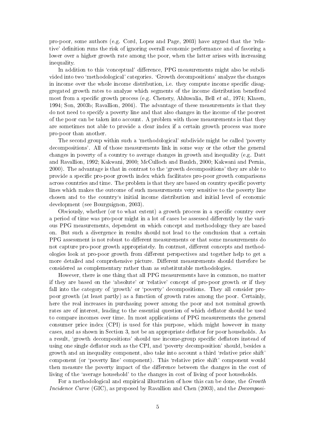pro-poor, some authors (e.g. Cord, Lopez and Page, 2003) have argued that the 'relative' definition runs the risk of ignoring overall economic performance and of favoring a lower over a higher growth rate among the poor, when the latter arises with increasing inequality.

In addition to this 'conceptual' difference, PPG measurements might also be subdivided into two 'methodological' categories. 'Growth decompositions' analyze the changes in income over the whole income distribution, i.e. they compute income specific disaggregated growth rates to analyze which segments of the income distribution benefited most from a specific growth process (e.g. Chenery, Ahluwalia, Bell *et al.*, 1974; Klasen. 1994; Son, 2003b; Ravallion, 2004). The advantage of these measurements is that they do not need to specify a poverty line and that also changes in the income of the poorest of the poor can be taken into account. A problem with those measurements is that they are sometimes not able to provide a clear index if a certain growth process was more pro-poor than another.

The second group within such a 'methodological' subdivide might be called 'poverty decompositions'. All of those measurements link in some way or the other the general changes in poverty of a country to average changes in growth and inequality (e.g. Datt and Ravallion, 1992; Kakwani, 2000; McCulloch and Baulch, 2000; Kakwani and Pernia, 2000). The advantage is that in contrast to the 'growth decompositions' they are able to provide a specific pro-poor growth index which facilitates pro-poor growth comparisons across countries and time. The problem is that they are based on country specific poverty lines which makes the outcome of such measurements very sensitive to the poverty line chosen and to the country's initial income distribution and initial level of economic development (see Bourguignon, 2003).

Obviously, whether (or to what extent) a growth process in a specific country over a period of time was pro-poor might in a lot of cases be assessed differently by the various PPG measurements, dependent on which concept and methodology they are based on. But such a divergence in results should not lead to the conclusion that a certain PPG assessment is not robust to different measurements or that some measurements do not capture pro-poor growth appropriately. In contrast, different concepts and methodologies look at pro-poor growth from different perspectives and together help to get a more detailed and comprehensive picture. Different measurements should therefore be considered as complementary rather than as substitutable methodologies.

However, there is one thing that all PPG measurements have in common, no matter if they are based on the 'absolute' or 'relative' concept of pro-poor growth or if they fall into the category of 'growth' or 'poverty' decompositions. They all consider propoor growth (at least partly) as a function of growth rates among the poor. Certainly, here the real increases in purchasing power among the poor and not nominal growth rates are of interest, leading to the essential question of which deflator should be used to compare incomes over time. In most applications of PPG measurements the general consumer price index (CPI) is used for this purpose, which might however in many cases, and as shown in Section 3, not be an appropriate deflator for poor households. As a result, 'growth decompositions' should use income-group specific deflators instead of using one single deflator such as the CPI, and 'poverty decomposition' should, besides a growth and an inequality component, also take into account a third 'relative price shift' component (or 'poverty line' component). This 'relative price shift' component would then measure the poverty impact of the difference between the changes in the cost of living of the 'average household' to the changes in cost of living of poor households.

For a methodological and empirical illustration of how this can be done, the Growth *Incidence Curve* (GIC), as proposed by Ravallion and Chen (2003), and the *Decomposi-*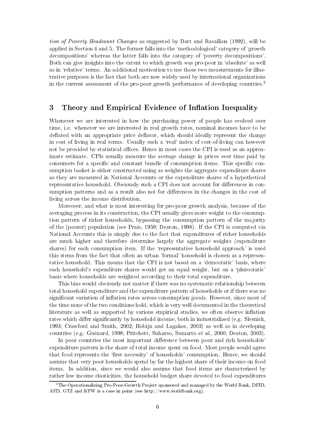*tion of Poverty Headcount Changes* as suggested by Datt and Ravallion (1992), will be applied in Section 4 and 5. The former falls into the 'methodological' category of 'growth decompositions' whereas the latter falls into the category of 'poverty decompositions'. Both can give insights into the extent to which growth was pro-poor in 'absolute' as well as in 'relative' terms. An additional motivation to use those two measurements for illustrative purposes is the fact that both are now widely used by international organizations in the current assessment of the pro-poor growth performance of developing countries.<sup>2</sup>

#### 3 Theory and Empirical Evidence of Inflation Inequality

Whenever we are interested in how the purchasing power of people has evolved over time, i.e. whenever we are interested in real growth rates, nominal incomes have to be deflated with an appropriate price deflator, which should ideally represent the change in cost of living in real terms. Usually such a 'real' index of cost-of-living can however not be provided by statistical offices. Hence in most cases the CPI is used as an approximate estimate. CPIs usually measure the average change in prices over time paid by consumers for a specific and constant bundle of consumption items. This specific consumption basket is either constructed using as weights the aggregate expenditure shares as they are measured in National Accounts or the expenditure shares of a hypothetical representative household. Obviously such a CPI does not account for differences in consumption patterns and as a result also not for differences in the changes in the cost of living across the income distribution.

Moreover, and what is most interesting for pro-poor growth analysis, because of the averaging process in its construction, the CPI usually gives more weight to the consumption pattern of richer households, bypassing the consumption pattern of the majority of the (poorer) population (see Prais, 1959; Deaton, 1998). If the CPI is computed via National Accounts this is simply due to the fact that expenditures of richer households are much higher and therefore determine largely the aggregate weights (expenditure shares) for each consumption item. If the 'representative household approach' is used this stems from the fact that often an urban 'formal' household is chosen as a representative household. This means that the CPI is not based on a 'democratic' basis, where each household's expenditure shares would get an equal weight, but on a 'plurocratic' basis where households are weighted according to their total expenditure.

This bias would obviously not matter if there was no systematic relationship between total household expenditure and the expenditure pattern of households or if there was no significant variation of inflation rates across consumption goods. However, since most of the time none of the two conditions hold, which is very well documented in the theoretical literature as well as supported by various empirical studies, we often observe inflation rates which differ significantly by household income, both in industrialized (e.g. Slesnick, 1993; Crawford and Smith, 2002; Hobijn and Lagakos, 2003) as well as in developing countries (e.g. Guénard, 1998; Pritchett, Suharso, Sumarto et al., 2000; Deaton, 2003).

In poor countries the most important difference between poor and rich households expenditure pattern is the share of total income spent on food. Most people would agree that food represents the 'first necessity' of households' consumption. Hence, we should assume that very poor households spend by far the highest share of their income on food items. In addition, since we would also assume that food items are characterized by rather low income elasticities, the household budget share devoted to food expenditures

 ${}^{2}$ The Operationalizing Pro-Poor-Growth Project sponsored and managed by the World Bank, DFID, AFD, GTZ and KFW is a case in point (see http://www.worldbank.org).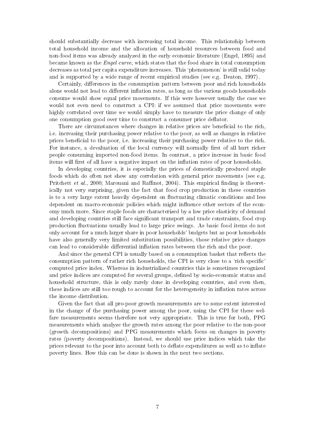should substantially decrease with increasing total income. This relationship between total household income and the allocation of household resources between food and non-food items was already analyzed in the early economic literature (Engel, 1895) and became known as the *Engel curve*, which states that the food share in total consumption decreases as total per capita expenditure increases. This 'phenomenon' is still valid today and is supported by a wide range of recent empirical studies (see e.g. Deaton, 1997).

Certainly, differences in the consumption pattern between poor and rich households alone would not lead to different inflation rates, as long as the various goods households consume would show equal price movements. If this were however usually the case we would not even need to construct a CPI: if we assumed that price movements were highly correlated over time we would simply have to measure the price change of only one consumption good over time to construct a consumer price deflator.

There are circumstances where changes in relative prices are beneficial to the rich, i.e. increasing their purchasing power relative to the poor, as well as changes in relative prices beneficial to the poor, i.e. increasing their purchasing power relative to the rich. For instance, a devaluation of the local currency will normally first of all hurt richer people consuming imported non-food items. In contrast, a price increase in basic food items will first of all have a negative impact on the inflation rates of poor households.

In developing countries, it is especially the prices of domestically produced staple foods which do often not show any correlation with general price movements (see e.g. Pritchett *et al.*, 2000; Marouani and Raffinot, 2004). This empirical finding is theoretically not very surprising, given the fact that food crop production in these countries is to a very large extent heavily dependent on fluctuating climatic conditions and less dependent on macro-economic policies which might influence other sectors of the economy much more. Since staple foods are characterized by a low price elasticity of demand and developing countries still face significant transport and trade constraints, food crop production fluctuations usually lead to large price swings. As basic food items do not only account for a much larger share in poor households' budgets but as poor households have also generally very limited substitution possibilities, those relative price changes can lead to considerable differential inflation rates between the rich and the poor.

And since the general CPI is usually based on a consumption basket that reflects the consumption pattern of rather rich households, the CPI is very close to a 'rich specific computed price index. Whereas in industrialized countries this is sometimes recognized and price indices are computed for several groups, defined by socio-economic status and household structure, this is only rarely done in developing countries, and even then, these indices are still too rough to account for the heterogeneity in inflation rates across the income distribution.

Given the fact that all pro-poor growth measurements are to some extent interested in the change of the purchasing power among the poor, using the CPI for these welfare measurements seems therefore not very appropriate. This is true for both, PPG measurements which analyze the growth rates among the poor relative to the non-poor (growth decompositions) and PPG measurements which focus on changes in poverty rates (poverty decompositions). Instead, we should use price indices which take the prices relevant to the poor into account both to deflate expenditures as well as to inflate poverty lines. How this can be done is shown in the next two sections.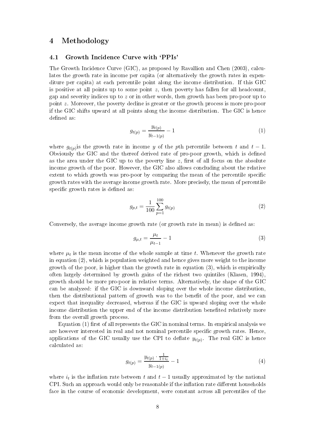#### $\overline{\mathbf{4}}$ Methodology

#### Growth Incidence Curve with 'PPIs'  $4.1$

The Growth Incidence Curve (GIC), as proposed by Ravallion and Chen (2003), calculates the growth rate in income per capita (or alternatively the growth rates in expenditure per capita) at each percentile point along the income distribution. If this GIC is positive at all points up to some point  $z$ , then poverty has fallen for all headcount. gap and severity indices up to  $z$  or in other words, then growth has been pro-poor up to point  $z$ . Moreover, the poverty decline is greater or the growth process is more pro-poor if the GIC shifts upward at all points along the income distribution. The GIC is hence defined as:

$$
g_{t(p)} = \frac{y_{t(p)}}{y_{t-1(p)}} - 1
$$
\n(1)

where  $g_{t(n)}$  is the growth rate in income y of the pth percentile between t and  $t-1$ . Obviously the GIC and the thereof derived rate of pro-poor growth, which is defined as the area under the GIC up to the poverty line  $z$ , first of all focus on the absolute income growth of the poor. However, the GIC also allows concluding about the relative extent to which growth was pro-poor by comparing the mean of the percentile specific growth rates with the average income growth rate. More precisely, the mean of percentile specific growth rates is defined as:

$$
g_{p,t} = \frac{1}{100} \sum_{p=1}^{100} g_{t(p)} \tag{2}
$$

Conversely, the average income growth rate (or growth rate in mean) is defined as:

$$
g_{\mu,t} = \frac{\mu_t}{\mu_{t-1}} - 1
$$
\n(3)

where  $\mu_t$  is the mean income of the whole sample at time t. Whenever the growth rate in equation  $(2)$ , which is population weighted and hence gives more weight to the income growth of the poor, is higher than the growth rate in equation  $(3)$ , which is empirically often largely determined by growth gains of the richest two quintiles (Klasen, 1994). growth should be more pro-poor in relative terms. Alternatively, the shape of the GIC can be analyzed: if the GIC is downward sloping over the whole income distribution. then the distributional pattern of growth was to the benefit of the poor, and we can expect that inequality decreased, whereas if the GIC is upward sloping over the whole income distribution the upper end of the income distribution benefited relatively more from the overall growth process

Equation (1) first of all represents the GIC in nominal terms. In empirical analysis we are however interested in real and not nominal percentile specific growth rates. Hence, applications of the GIC usually use the CPI to deflate  $y_{t(p)}$ . The real GIC is hence calculated as:

$$
g_{t(p)} = \frac{y_{t(p)} \cdot \frac{1}{1+i_t}}{y_{t-1(p)}} - 1 \tag{4}
$$

where  $i_t$  is the inflation rate between t and  $t-1$  usually approximated by the national CPI. Such an approach would only be reasonable if the inflation rate different households face in the course of economic development, were constant across all percentiles of the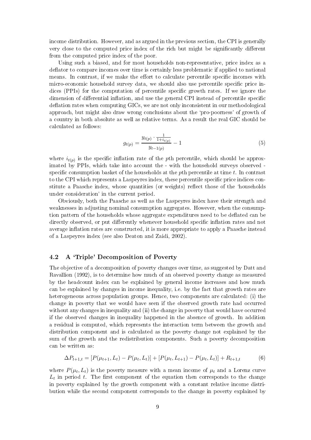income distribution. However, and as argued in the previous section, the CPI is generally very close to the computed price index of the rich but might be significantly different from the computed price index of the poor.

Using such a biased, and for most households non-representative, price index as a deflator to compare incomes over time is certainly less problematic if applied to national means. In contrast, if we make the effort to calculate percentile specific incomes with micro-economic household survey data, we should also use percentile specific price indices (PPIs) for the computation of percentile specific growth rates. If we ignore the dimension of differential inflation, and use the general CPI instead of percentile specific deflation rates when computing GICs, we are not only inconsistent in our methodological approach, but might also draw wrong conclusions about the 'pro-poorness' of growth of a country in both absolute as well as relative terms. As a result the real GIC should be calculated as follows:

$$
g_{t(p)} = \frac{y_{t(p)} \cdot \frac{1}{1 + i_{t(p)}}}{y_{t-1(p)}} - 1 \tag{5}
$$

where  $i_{t(p)}$  is the specific inflation rate of the pth percentile, which should be approximated by PPIs, which take into account the - with the household surveys observed specific consumption basket of the households at the  $p$ th percentile at time t. In contrast to the CPI which represents a Laspeyres index, these percentile specific price indices constitute a Paasche index, whose quantities (or weights) reflect those of the 'households under consideration' in the current period.

Obviously, both the Paasche as well as the Laspeyres index have their strength and weaknesses in adjusting nominal consumption aggregates. However, when the consumption pattern of the households whose aggregate expenditures need to be deflated can be directly observed, or put differently whenever household specific inflation rates and not average inflation rates are constructed, it is more appropriate to apply a Paasche instead of a Laspeyres index (see also Deaton and Zaidi, 2002).

#### $4.2$ A 'Triple' Decomposition of Poverty

The objective of a decomposition of poverty changes over time, as suggested by Datt and Ravallion (1992), is to determine how much of an observed poverty change as measured by the headcount index can be explained by general income increases and how much can be explained by changes in income inequality, i.e. by the fact that growth rates are heterogeneous across population groups. Hence, two components are calculated: (i) the change in poverty that we would have seen if the observed growth rate had occurred without any changes in inequality and (ii) the change in poverty that would have occurred if the observed changes in inequality happened in the absence of growth. In addition a residual is computed, which represents the interaction term between the growth and distribution component and is calculated as the poverty change not explained by the sum of the growth and the redistribution components. Such a poverty decomposition can be written as:

$$
\Delta P_{t+1,t} = [P(\mu_{t+1}, L_t) - P(\mu_t, L_t)] + [P(\mu_t, L_{t+1}) - P(\mu_t, L_t)] + R_{t+1,t} \tag{6}
$$

where  $P(\mu_t, L_t)$  is the poverty measure with a mean income of  $\mu_t$  and a Lorenz curve  $L_t$  in period t. The first component of the equation then corresponds to the change in poverty explained by the growth component with a constant relative income distribution while the second component corresponds to the change in poverty explained by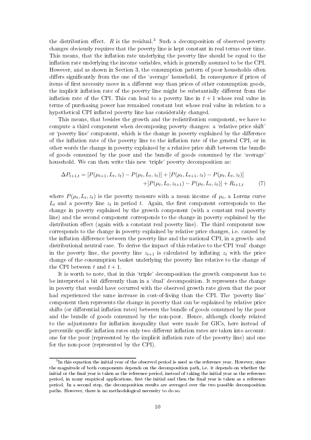the distribution effect.  $R$  is the residual.<sup>3</sup> Such a decomposition of observed poverty changes obviously requires that the poverty line is kept constant in real terms over time. This means, that the inflation rate underlying the poverty line should be equal to the inflation rate underlying the income variables, which is generally assumed to be the CPI. However, and as shown in Section 3, the consumption pattern of poor households often differs significantly from the one of the 'average' household. In consequence if prices of items of first necessity move in a different way than prices of other consumption goods, the implicit inflation rate of the poverty line might be substantially different from the inflation rate of the CPI. This can lead to a poverty line in  $t+1$  whose real value in terms of purchasing power has remained constant but whose real value in relation to a hypothetical CPI inflated poverty line has considerably changed.

This means, that besides the growth and the redistribution component, we have to compute a third component when decomposing poverty changes: a 'relative price shift' or 'poverty line' component, which is the change in poverty explained by the difference of the inflation rate of the poverty line to the inflation rate of the general CPI, or in other words the change in poverty explained by a relative price shift between the bundle of goods consumed by the poor and the bundle of goods consumed by the 'average' household. We can then write this new 'triple' poverty decomposition as:

$$
\Delta P_{t+1,t} = [P(\mu_{t+1}, L_t, z_t) - P(\mu_t, L_t, z_t)] + [P(\mu_t, L_{t+1}, z_t) - P(\mu_t, L_t, z_t)]
$$
  
 
$$
+ [P(\mu_t, L_t, z_{t+1}) - P(\mu_t, L_t, z_t)] + R_{t+1,t} \tag{7}
$$

where  $P(\mu_t, L_t, z_t)$  is the poverty measure with a mean income of  $\mu_t$ , a Lorenz curve  $L_t$  and a poverty line  $z_t$  in period t. Again, the first component corresponds to the change in poverty explained by the growth component (with a constant real poverty line) and the second component corresponds to the change in poverty explained by the distribution effect (again with a constant real poverty line). The third component now corresponds to the change in poverty explained by relative price changes, i.e. caused by the inflation difference between the poverty line and the national CPI, in a growth- and distributional neutral case. To derive the impact of this relative to the CPI 'real' change in the poverty line, the poverty line  $z_{t+1}$  is calculated by inflating  $z_t$  with the price change of the consumption basket underlying the poverty line relative to the change of the CPI between t and  $t+1$ .

It is worth to note, that in this 'triple' decomposition the growth component has to be interpreted a bit differently than in a 'dual' decomposition. It represents the change in poverty that would have occurred with the observed growth rate given that the poor had experienced the same increase in cost-of-living than the CPI. The 'poverty line' component then represents the change in poverty that can be explained by relative price shifts (or differential inflation rates) between the bundle of goods consumed by the poor and the bundle of goods consumed by the non-poor. Hence, although closely related to the adjustments for inflation inequality that were made for GICs, here instead of percentile specific inflation rates only two different inflation rates are taken into account: one for the poor (represented by the implicit inflation rate of the poverty line) and one for the non-poor (represented by the CPI).

 ${}^{3}$ In this equation the initial year of the observed period is used as the reference year. However, since the magnitude of both components depends on the decomposition path, i.e. it depends on whether the initial or the final year is taken as the reference period, instead of taking the initial year as the reference period, in many empirical applications, first the initial and then the final year is taken as a reference period. In a second step, the decomposition results are averaged over the two possible decomposition paths. However, there is no methodological necessity to do so.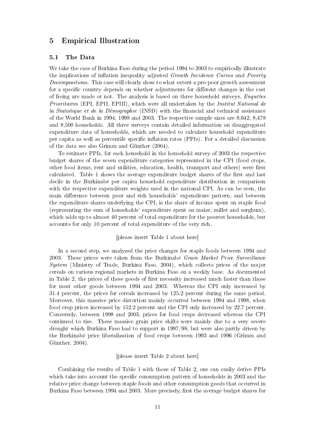#### 5 **Empirical Illustration**

#### $5.1$ The Data

We take the case of Burkina Faso during the period 1994 to 2003 to empirically illustrate the implications of inflation inequality adjusted Growth Incidence Curves and Poverty *Decompositions.* This case will clearly show to what extent a pro-poor growth assessment for a specific country depends on whether adjustments for different changes in the cost of living are made or not. The analysis is based on three household surveys,  $Enquêtes$ *Prioritaires* (EPI, EPII, EPIII), which were all undertaken by the *Institut National de* la Statistique et de la Démographie (INSD) with the financial and technical assistance of the World Bank in 1994, 1998 and 2003. The respective sample sizes are  $8,642, 8,478$ and 8,500 households. All three surveys contain detailed information on disaggregated expenditure data of households, which are needed to calculate household expenditure per capita as well as percentile specific inflation rates (PPIs). For a detailed discussion of the data see also Grimm and Günther (2004).

To estimate PPIs, for each household in the household survey of 2003 the respective budget shares of the seven expenditure categories represented in the CPI (food crops, other food items, rent and utilities, education, health, transport and others) were first calculated. Table 1 shows the average expenditure budget shares of the first and last decile in the Burkinabe per capita household expenditure distribution in comparison with the respective expenditure weights used in the national CPI. As can be seen, the main difference between poor and rich households' expenditure pattern, and between the expenditure shares underlying the CPI, is the share of income spent on staple food (representing the sum of households' expenditure spent on maize, millet and sorghum), which adds up to almost 40 percent of total expenditure for the poorest households, but accounts for only 10 percent of total expenditure of the very rich.

## [please insert Table 1 about here]

In a second step, we analyzed the price changes for staple foods between 1994 and 2003. These prices were taken from the Burkinabe Grain Market Price Surveillance  $System$  (Ministry of Trade, Burkina Faso, 2004), which collects prices of the major cereals on various regional markets in Burkina Faso on a weekly base. As documented in Table 2, the prices of these goods of first necessity increased much faster than those for most other goods between 1994 and 2003. Whereas the CPI only increased by 31.4 percent, the prices for cereals increased by 125.2 percent during the same period. Moreover, this massive price distortion mainly occurred between 1994 and 1998, when food crop prices increased by 152.2 percent and the CPI only increased by 22.7 percent. Conversely, between 1998 and 2003, prices for food crops decreased whereas the CPI continued to rise. These massive grain price shifts were mainly due to a very severe drought which Burkina Faso had to support in 1997/98, but were also partly driven by the Burkinabe price liberalization of food crops between 1993 and 1996 (Grimm and Günther,  $2004$ ).

### [please insert Table 2 about here]

Combining the results of Table 1 with those of Table 2, one can easily derive PPIs which take into account the specific consumption pattern of households in 2003 and the relative price change between staple foods and other consumption goods that occurred in Burkina Faso between 1994 and 2003. More precisely, first the average budget shares for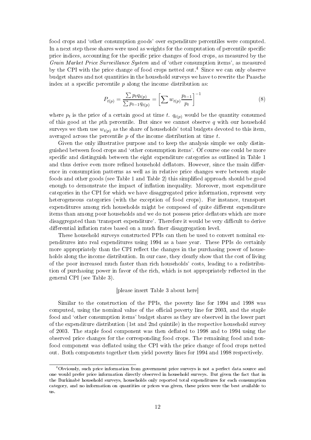food crops and 'other consumption goods' over expenditure percentiles were computed. In a next step these shares were used as weights for the computation of percentile specific price indices, accounting for the specific price changes of food crops, as measured by the Grain Market Price Surveillance System and of 'other consumption items', as measured by the CPI with the price change of food crops netted out.<sup>4</sup> Since we can only observe budget shares and not quantities in the household surveys we have to rewrite the Paasche index at a specific percentile  $p$  along the income distribution as:

$$
P_{t(p)} = \frac{\sum p_t q_{t(p)}}{\sum p_{t-1} q_{t(p)}} = \left[ \sum w_{t(p)} \frac{p_{t-1}}{p_t} \right]^{-1} \tag{8}
$$

where  $p_t$  is the price of a certain good at time t.  $q_{t(p)}$  would be the quantity consumed of this good at the pth percentile. But since we cannot observe  $q$  with our household surveys we then use  $w_{t(p)}$  as the share of households' total budgets devoted to this item, averaged across the percentile  $p$  of the income distribution at time  $t$ .

Given the only illustrative purpose and to keep the analysis simple we only distinguished between food crops and 'other consumption items'. Of course one could be more specific and distinguish between the eight expenditure categories as outlined in Table 1 and thus derive even more refined household deflators. However, since the main difference in consumption patterns as well as in relative price changes were between staple foods and other goods (see Table 1 and Table 2) this simplified approach should be good enough to demonstrate the impact of inflation inequality. Moreover, most expenditure categories in the CPI for which we have disaggregated price information, represent very heterogeneous categories (with the exception of food crops). For instance, transport expenditures among rich households might be composed of quite different expenditure items than among poor households and we do not possess price deflators which are more disaggregated than 'transport expenditure'. Therefore it would be very difficult to derive differential inflation rates based on a much finer disaggregation level.

These household surveys constructed PPIs can then be used to convert nominal expenditures into real expenditures using 1994 as a base year. These PPIs do certainly more appropriately than the CPI reflect the changes in the purchasing power of households along the income distribution. In our case, they clearly show that the cost of living of the poor increased much faster than rich households' costs, leading to a redistribution of purchasing power in favor of the rich, which is not appropriately reflected in the general CPI (see Table 3).

### [please insert Table 3 about here]

Similar to the construction of the PPIs, the poverty line for 1994 and 1998 was computed, using the nominal value of the official poverty line for 2003, and the staple food and 'other consumption items' budget shares as they are observed in the lower part of the expenditure distribution (1st and 2nd quintile) in the respective household survey of 2003. The staple food component was then deflated to 1998 and to 1994 using the observed price changes for the corresponding food crops. The remaining food and nonfood component was deflated using the CPI with the price change of food crops netted out. Both components together then yield poverty lines for 1994 and 1998 respectively.

<sup>&</sup>lt;sup>4</sup>Obviously, such price information from government price surveys is not a perfect data source and one would prefer price information directly observed in household surveys. But given the fact that in the Burkinabè household surveys, households only reported total expenditures for each consumption category, and no information on quantities or prices was given, these prices were the best available to us.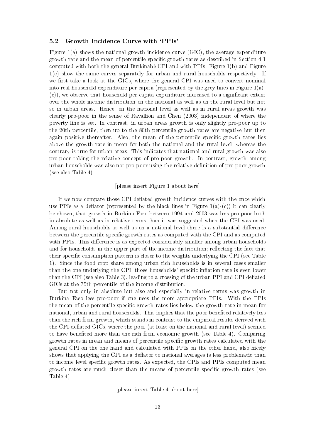#### $5.2$ Growth Incidence Curve with 'PPIs'

Figure  $1(a)$  shows the national growth incidence curve (GIC), the average expenditure growth rate and the mean of percentile specific growth rates as described in Section 4.1 computed with both the general Burkinabe CPI and with PPIs. Figure 1(b) and Figure  $1(c)$  show the same curves separately for urban and rural households respectively. If we first take a look at the GICs, where the general CPI was used to convert nominal into real household expenditure per capita (represented by the grey lines in Figure  $1(a)$ - $(c)$ , we observe that household per capita expenditure increased to a significant extent over the whole income distribution on the national as well as on the rural level but not so in urban areas. Hence, on the national level as well as in rural areas growth was clearly pro-poor in the sense of Ravallion and Chen (2003) independent of where the poverty line is set. In contrast, in urban areas growth is only slightly pro-poor up to the 20th percentile, then up to the 80th percentile growth rates are negative but then again positive thereafter. Also, the mean of the percentile specific growth rates lies above the growth rate in mean for both the national and the rural level, whereas the contrary is true for urban areas. This indicates that national and rural growth was also pro-poor taking the relative concept of pro-poor growth. In contrast, growth among urban households was also not pro-poor using the relative definition of pro-poor growth (see also Table 4).

### [please insert Figure 1 about here]

If we now compare those CPI deflated growth incidence curves with the once which use PPIs as a deflator (represented by the black lines in Figure 1(a)-(c)) it can clearly be shown, that growth in Burkina Faso between 1994 and 2003 was less pro-poor both in absolute as well as in relative terms than it was suggested when the CPI was used. Among rural households as well as on a national level there is a substantial difference between the percentile specific growth rates as computed with the CPI and as computed with PPIs. This difference is as expected considerably smaller among urban households and for households in the upper part of the income distribution; reflecting the fact that their specific consumption pattern is closer to the weights underlying the CPI (see Table 1). Since the food crop share among urban rich households is in several cases smaller than the one underlying the CPI, those households' specific inflation rate is even lower than the CPI (see also Table 3), leading to a crossing of the urban PPI and CPI deflated GICs at the 75th percentile of the income distribution.

But not only in absolute but also and especially in relative terms was growth in Burkina Faso less pro-poor if one uses the more appropriate PPIs. With the PPIs the mean of the percentile specific growth rates lies below the growth rate in mean for national, urban and rural households. This implies that the poor benefited relatively less than the rich from growth, which stands in contrast to the empirical results derived with the CPI-deflated GICs, where the poor (at least on the national and rural level) seemed to have benefited more than the rich from economic growth (see Table 4). Comparing growth rates in mean and means of percentile specific growth rates calculated with the general CPI on the one hand and calculated with PPIs on the other hand, also nicely shows that applying the CPI as a deflator to national averages is less problematic than to income level specific growth rates. As expected, the CPIs and PPIs computed mean growth rates are much closer than the means of percentile specific growth rates (see Table  $4$ ).

[please insert Table 4 about here]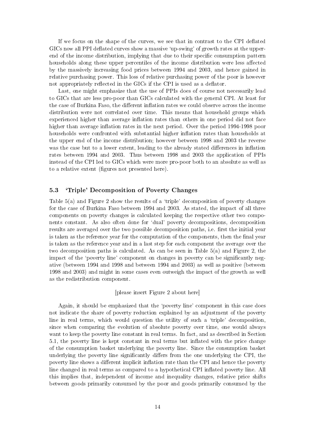If we focus on the shape of the curves, we see that in contrast to the CPI deflated GICs now all PPI deflated curves show a massive 'up-swing' of growth rates at the upperend of the income distribution, implying that due to their specific consumption pattern households along these upper percentiles of the income distribution were less affected by the massively increasing food prices between 1994 and 2003, and hence gained in relative purchasing power. This loss of relative purchasing power of the poor is however not appropriately reflected in the GICs if the CPI is used as a deflator.

Last, one might emphasize that the use of PPIs does of course not necessarily lead to GICs that are less pro-poor than GICs calculated with the general CPI. At least for the case of Burkina Faso, the different inflation rates we could observe across the income distribution were not correlated over time. This means that household groups which experienced higher than average inflation rates than others in one period did not face higher than average inflation rates in the next period. Over the period 1994-1998 poor households were confronted with substantial higher inflation rates than households at the upper end of the income distribution; however between 1998 and 2003 the reverse was the case but to a lower extent, leading to the already stated differences in inflation rates between 1994 and 2003. Thus between 1998 and 2003 the application of PPIs instead of the CPI led to GICs which were more pro-poor both to an absolute as well as to a relative extent (figures not presented here).

#### 5.3 'Triple' Decomposition of Poverty Changes

Table 5(a) and Figure 2 show the results of a 'triple' decomposition of poverty changes for the case of Burkina Faso between 1994 and 2003. As stated, the impact of all three components on poverty changes is calculated keeping the respective other two components constant. As also often done for 'dual' poverty decompositions, decomposition results are averaged over the two possible decomposition paths, i.e. first the initial year is taken as the reference year for the computation of the components, then the final year is taken as the reference year and in a last step for each component the average over the two decomposition paths is calculated. As can be seen in Table  $5(a)$  and Figure 2, the impact of the 'poverty line' component on changes in poverty can be significantly negative (between 1994 and 1998 and between 1994 and 2003) as well as positive (between 1998 and 2003) and might in some cases even outweigh the impact of the growth as well as the redistribution component.

[please insert Figure 2 about here]

Again, it should be emphasized that the 'poverty line' component in this case does not indicate the share of poverty reduction explained by an adjustment of the poverty line in real terms, which would question the utility of such a 'triple' decomposition. since when comparing the evolution of absolute poverty over time, one would always want to keep the poverty line constant in real terms. In fact, and as described in Section 5.1, the poverty line is kept constant in real terms but inflated with the price change of the consumption basket underlying the poverty line. Since the consumption basket underlying the poverty line significantly differs from the one underlying the CPI, the poverty line shows a different implicit inflation rate than the CPI and hence the poverty line changed in real terms as compared to a hypothetical CPI inflated poverty line. All this implies that, independent of income and inequality changes, relative price shifts between goods primarily consumed by the poor and goods primarily consumed by the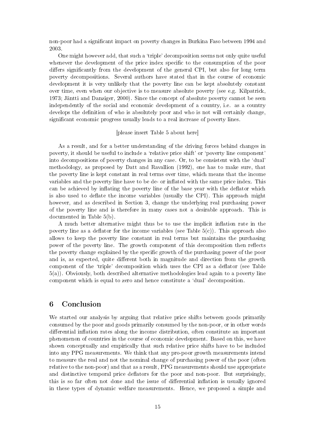non-poor had a significant impact on poverty changes in Burkina Faso between 1994 and 2003.

One might however add, that such a 'triple' decomposition seems not only quite useful whenever the development of the price index specific to the consumption of the poor differs significantly from the development of the general CPI, but also for long term poverty decompositions. Several authors have stated that in the course of economic development it is very unlikely that the poverty line can be kept absolutely constant over time, even when our objective is to measure absolute poverty (see e.g. Kilpatrick, 1973; Jäntti and Danziger, 2000). Since the concept of absolute poverty cannot be seen independently of the social and economic development of a country, i.e. as a country develops the definition of who is absolutely poor and who is not will certainly change. significant economic progress usually leads to a real increase of poverty lines.

### [please insert Table 5 about here]

As a result, and for a better understanding of the driving forces behind changes in poverty, it should be useful to include a 'relative price shift' or 'poverty line component' into decompositions of poverty changes in any case. Or, to be consistent with the 'dual' methodology, as proposed by Datt and Ravallion (1992), one has to make sure, that the poverty line is kept constant in real terms over time, which means that the income variables and the poverty line have to be de- or inflated with the same price index. This can be achieved by inflating the poverty line of the base year with the deflator which is also used to deflate the income variables (usually the CPI). This approach might however, and as described in Section 3, change the underlying real purchasing power of the poverty line and is therefore in many cases not a desirable approach. This is documented in Table  $5(b)$ .

A much better alternative might thus be to use the implicit inflation rate in the poverty line as a deflator for the income variables (see Table  $5(c)$ ). This approach also allows to keep the poverty line constant in real terms but maintains the purchasing power of the poverty line. The growth component of this decomposition then reflects the poverty change explained by the specific growth of the purchasing power of the poor and is, as expected, quite different both in magnitude and direction from the growth component of the 'triple' decomposition which uses the CPI as a deflator (see Table  $5(a)$ ). Obviously, both described alternative methodologies lead again to a poverty line component which is equal to zero and hence constitute a 'dual' decomposition.

#### $\boldsymbol{6}$ Conclusion

We started our analysis by arguing that relative price shifts between goods primarily consumed by the poor and goods primarily consumed by the non-poor, or in other words differential inflation rates along the income distribution, often constitute an important phenomenon of countries in the course of economic development. Based on this, we have shown conceptually and empirically that such relative price shifts have to be included into any PPG measurements. We think that any pro-poor growth measurements intend to measure the real and not the nominal change of purchasing power of the poor (often relative to the non-poor) and that as a result, PPG measurements should use appropriate and distinctive temporal price deflators for the poor and non-poor. But surprisingly, this is so far often not done and the issue of differential inflation is usually ignored in these types of dynamic welfare measurements. Hence, we proposed a simple and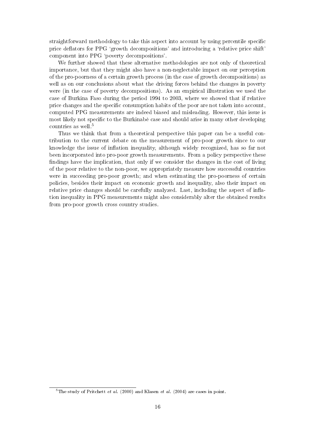straightforward methodology to take this aspect into account by using percentile specific price deflators for PPG 'growth decompositions' and introducing a 'relative price shift' component into PPG 'poverty decompositions'.

We further showed that these alternative methodologies are not only of theoretical importance, but that they might also have a non-neglectable impact on our perception of the pro-poorness of a certain growth process (in the case of growth decompositions) as well as on our conclusions about what the driving forces behind the changes in poverty were (in the case of poverty decompositions). As an empirical illustration we used the case of Burkina Faso during the period 1994 to 2003, where we showed that if relative price changes and the specific consumption habits of the poor are not taken into account, computed PPG measurements are indeed biased and misleading. However, this issue is most likely not specific to the Burkinabe case and should arise in many other developing countries as well.<sup>5</sup>

Thus we think that from a theoretical perspective this paper can be a useful contribution to the current debate on the measurement of pro-poor growth since to our knowledge the issue of inflation inequality, although widely recognized, has so far not been incorporated into pro-poor growth measurements. From a policy perspective these findings have the implication, that only if we consider the changes in the cost of living of the poor relative to the non-poor, we appropriately measure how successful countries were in succeeding pro-poor growth; and when estimating the pro-poorness of certain policies, besides their impact on economic growth and inequality, also their impact on relative price changes should be carefully analyzed. Last, including the aspect of inflation inequality in PPG measurements might also considerably alter the obtained results from pro-poor growth cross country studies.

<sup>&</sup>lt;sup>5</sup>The study of Pritchett *et al.* (2000) and Klasen *et al.* (2004) are cases in point.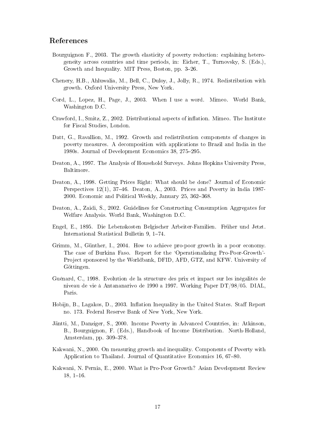## References

- Bourguignon F., 2003. The growth elasticity of poverty reduction: explaining heterogeneity across countries and time periods, in: Eicher, T., Turnovsky, S. (Eds.), Growth and Inequality. MIT Press, Boston, pp. 3–26.
- Chenery, H.B., Ahluwalia, M., Bell, C., Duloy, J., Jolly, R., 1974. Redistribution with growth. Oxford University Press, New York.
- Cord, L., Lopez, H., Page, J., 2003. When I use a word. Mimeo. World Bank, Washington D.C.
- Crawford, I., Smitz, Z., 2002. Distributional aspects of inflation. Mimeo. The Institute for Fiscal Studies, London.
- Datt, G., Ravallion, M., 1992. Growth and redistribution components of changes in poverty measures. A decomposition with applications to Brazil and India in the 1980s. Journal of Development Economics 38, 275-295.
- Deaton, A., 1997. The Analysis of Household Surveys. Johns Hopkins University Press. Baltimore.
- Deaton, A., 1998. Getting Prices Right: What should be done? Journal of Economic Perspectives  $12(1)$ , 37-46. Deaton, A., 2003. Prices and Poverty in India 1987-2000. Economic and Political Weekly, January 25, 362-368.
- Deaton, A., Zaidi, S., 2002. Guidelines for Constructing Consumption Aggregates for Welfare Analysis. World Bank, Washington D.C.
- Engel, E., 1895. Die Lebenskosten Belgischer Arbeiter-Familien. Früher und Jetzt. International Statistical Bulletin 9, 1-74.
- Grimm, M., Günther, I., 2004. How to achieve pro-poor growth in a poor economy. The case of Burkina Faso. Report for the 'Operationalizing Pro-Poor-Growth'-Project sponsored by the Worldbank, DFID, AFD, GTZ, and KFW. University of Göttingen.
- Guénard, C., 1998. Evolution de la structure des prix et impact sur les inégalités de niveau de vie à Antananarivo de 1990 a 1997. Working Paper DT/98/05. DIAL, Paris.
- Hobijn, B., Lagakos, D., 2003. Inflation Inequality in the United States. Staff Report no. 173. Federal Reserve Bank of New York, New York.
- Jäntti, M., Danziger, S., 2000. Income Poverty in Advanced Countries, in: Atkinson, B., Bourguignon, F. (Eds.), Handbook of Income Distribution. North-Holland, Amsterdam, pp. 309-378.
- Kakwani, N., 2000. On measuring growth and inequality. Components of Poverty with Application to Thailand. Journal of Quantitative Economics 16, 67-80.
- Kakwani, N. Pernia, E., 2000. What is Pro-Poor Growth? Asian Development Review  $18, 1-16.$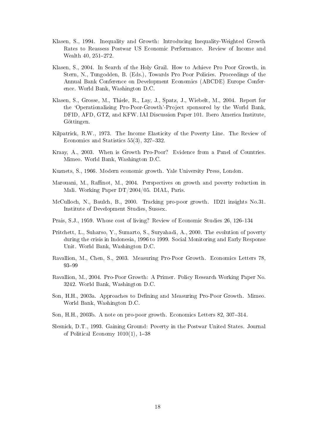- Klasen, S., 1994. Inequality and Growth: Introducing Inequality-Weighted Growth Rates to Reassess Postwar US Economic Performance. Review of Income and Wealth 40, 251-272.
- Klasen, S., 2004. In Search of the Holy Grail. How to Achieve Pro Poor Growth, in Stern, N., Tungodden, B. (Eds.), Towards Pro Poor Policies. Proceedings of the Annual Bank Conference on Development Economics (ABCDE) Europe Conference. World Bank, Washington D.C.
- Klasen, S., Grosse, M., Thiele, R., Lay, J., Spatz, J., Wiebelt, M., 2004. Report for the 'Operationalizing Pro-Poor-Growth'-Project sponsored by the World Bank, DFID, AFD, GTZ, and KFW. IAI Discussion Paper 101. Ibero America Institute, Göttingen.
- Kilpatrick, R.W., 1973. The Income Elasticity of the Poverty Line. The Review of Economics and Statistics 55(3), 327–332.
- Kraay, A., 2003. When is Growth Pro-Poor? Evidence from a Panel of Countries. Mimeo. World Bank, Washington D.C.
- Kuznets, S., 1966. Modern economic growth. Yale University Press, London.
- Marouani, M., Raffinot, M., 2004. Perspectives on growth and poverty reduction in Mali. Working Paper DT/2004/05. DIAL, Paris.
- McCulloch, N., Baulch, B., 2000. Tracking pro-poor growth. ID21 insights No.31. Institute of Development Studies, Sussex.
- Prais, S.J., 1959. Whose cost of living? Review of Economic Studies 26, 126–134
- Pritchett, L., Suharso, Y., Sumarto, S., Suryahadi, A., 2000. The evolution of poverty during the crisis in Indonesia, 1996 to 1999. Social Monitoring and Early Response Unit. World Bank, Washington D.C.
- Ravallion, M., Chen, S., 2003. Measuring Pro-Poor Growth. Economics Letters 78. 93-99
- Ravallion, M., 2004. Pro-Poor Growth: A Primer. Policy Research Working Paper No. 3242. World Bank, Washington D.C.
- Son, H.H., 2003a. Approaches to Defining and Measuring Pro-Poor Growth. Mimeo. World Bank, Washington D.C.
- Son, H.H., 2003b. A note on pro-poor growth. Economics Letters 82, 307-314.
- Slesnick, D.T., 1993. Gaining Ground: Poverty in the Postwar United States. Journal of Political Economy  $1010(1)$ , 1-38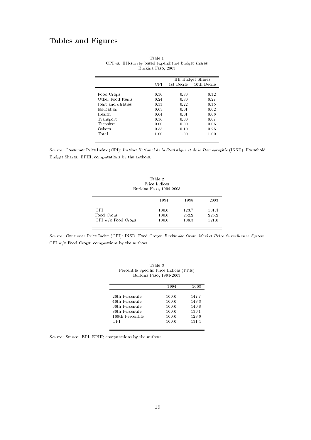## Tables and Figures

|                    |      | HH Budget Shares |             |  |
|--------------------|------|------------------|-------------|--|
|                    | CPL  | 1st Decile       | 10th Decile |  |
|                    |      |                  |             |  |
| Food Crops         | 0.10 | 0.36             | 0.12        |  |
| Other Food Items   | 0.24 | 0.30             | 0.27        |  |
| Rent and utilities | 0.11 | 0.22             | 0.15        |  |
| Education          | 0.03 | 0.01             | 0.02        |  |
| Health             | 0.04 | 0.01             | 0.06        |  |
| Transport          | 0.16 | 0.00             | 0.07        |  |
| Transfers          | 0.00 | 0.00             | 0.06        |  |
| Others             | 0.33 | 0.10             | 0.25        |  |
| Total              | 1.00 | 1.00             | 1.00        |  |

|                                                   | Table 1            |  |  |
|---------------------------------------------------|--------------------|--|--|
| CPI vs. HH-survey based expenditure budget shares |                    |  |  |
|                                                   | Burkina Faso, 2003 |  |  |

Source: Consumer Price Index (CPI): Institut National de la Statistique et de la Démographie (INSD). Household Budget Shares: EPIII, computations by the authors.

Table 2 Price Indices Burkina Faso, 1994-2003

|                      | 1994  | 1998  | 2003  |
|----------------------|-------|-------|-------|
| CPI.                 | 100.0 | 123.7 | 131.4 |
| Food Crops           | 100.0 | 252.2 | 225.2 |
| CPI $w/o$ Food Crops | 100.0 | 108.3 | 121.0 |

Source: Consumer Price Index (CPI): INSD. Food Crops: Burkinabè Grain Market Price Surveillance System. CPI  $w/o$  Food Crops: computaions by the authors.

| Burkina Faso, 1994-2003 |       |       |  |  |  |
|-------------------------|-------|-------|--|--|--|
|                         | 1994  | 2003  |  |  |  |
| 20th Percentile         | 100.0 | 147.7 |  |  |  |
| 40th Percentile         | 100.0 | 143.3 |  |  |  |
| 60th Percentile         | 100.0 | 140.8 |  |  |  |
| 80th Percentile         | 100.0 | 136.1 |  |  |  |
| 100th Percentile        | 100.0 | 123.6 |  |  |  |
| CPI                     | 100.0 | 131.4 |  |  |  |

| Table 3                                  |  |
|------------------------------------------|--|
| Percentile Specific Price Indices (PPIs) |  |
| Burkina Faso, 1994-2003                  |  |

Source: Source: EPI, EPIII; computations by the authors.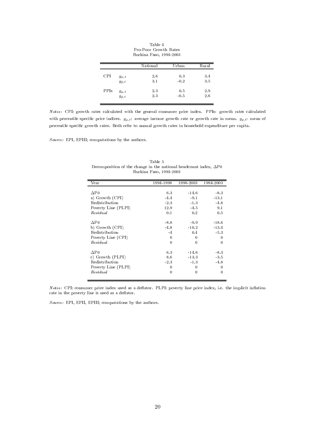|      |                          | National | Urban  | Rural |
|------|--------------------------|----------|--------|-------|
| CPI  | $g_{\mu,t}$              | 2.6      | 0.3    | 3.4   |
|      | $g_{p,t}$                | 3.1      | $-0.2$ | 3.5   |
| PPIs |                          | 2.3      | 0.5    | 2.9   |
|      | $g_{\mu,t}$<br>$g_{p,t}$ | 2.3      | $-0.5$ | 2.6   |

Table 4 Pro-Poor Growth Rates Burkina Faso, 1994-2003

Notes: CPI: growth rates calculated with the general consumer price index. PPIs: growth rates calculated with percentile specific price indices.  $g_{\mu,t}$ : average income growth rate or growth rate in mean.  $g_{p,t}$ : mean of percentile specific growth rates. Both refer to annual growth rates in household expenditure per capita.

 $Source: EPI, EPIII; computations by the authors.$ 

| Year                | 1994-1998    | 1998-2003 | 1994-2003 |
|---------------------|--------------|-----------|-----------|
|                     |              |           |           |
| $\Delta P0$         | 6.3          | $-14.6$   | $-8.3$    |
| a) Growth (CPI)     | $-4.4$       | $-9.1$    | $-13.1$   |
| Redistribution      | $-2.3$       | $-1.3$    | $-4.8$    |
| Poverty Line (PLPI) | 12.9         | $-4.5$    | 9.1       |
| Residual            | 0.1          | 0.2       | 0.5       |
| $\Delta P0$         | $-8.8$       | $-9.9$    | $-18.6$   |
| b) Growth (CPI)     | $-4.8$       | $-10.2$   | $-13.4$   |
| Redistribution      | $-4$         | 0.4       | $-5.3$    |
| Poverty Line (CPI)  | $\mathbf{0}$ | 0         | 0         |
| Residual            | $\theta$     | $\theta$  | 0         |
| $\Delta P0$         | 6.3          | $-14.6$   | $-8.3$    |
| c) Growth (PLPI)    | 8.6          | $-13.3$   | $-3.5$    |
| Redistribution      | $-2.3$       | $-1.3$    | $-4.8$    |
| Poverty Line (PLPI) | 0            | 0         | 0         |
| Residual            | 0            | $\bf{0}$  | 0         |

Table 5 Decomposition of the change in the national headcount index,  $\Delta P0$ Burkina Faso, 1994-2003

Notes: CPI: consumer price index used as a deflator. PLPI: poverty line price index, i.e. the implicit inflation rate in the poverty line is used as a deflator.

Source: EPI, EPII, EPIII; computations by the authors.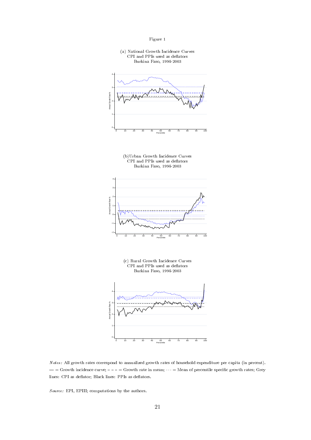



 $\mathcal{L}(\mathcal{S})$  . The group  $\mathcal{S}$  results to the component of group  $\mathcal{S}$  . The component of  $\mathcal{S}$  of  $\mathcal{S}$  ,  $\mathcal{S}$  of  $\mathcal{S}$  ,  $\mathcal{S}$  $-$  = Growth incidence curve;  $-$  -  $-$  = Growth rate in mean;  $\cdots$  = Mean of percentile specific growth rates; Grey  $\cdots$  . The set of  $\cdots$  is the set of  $\cdots$  . The set of  $\cdots$ 

- +! +6 % (